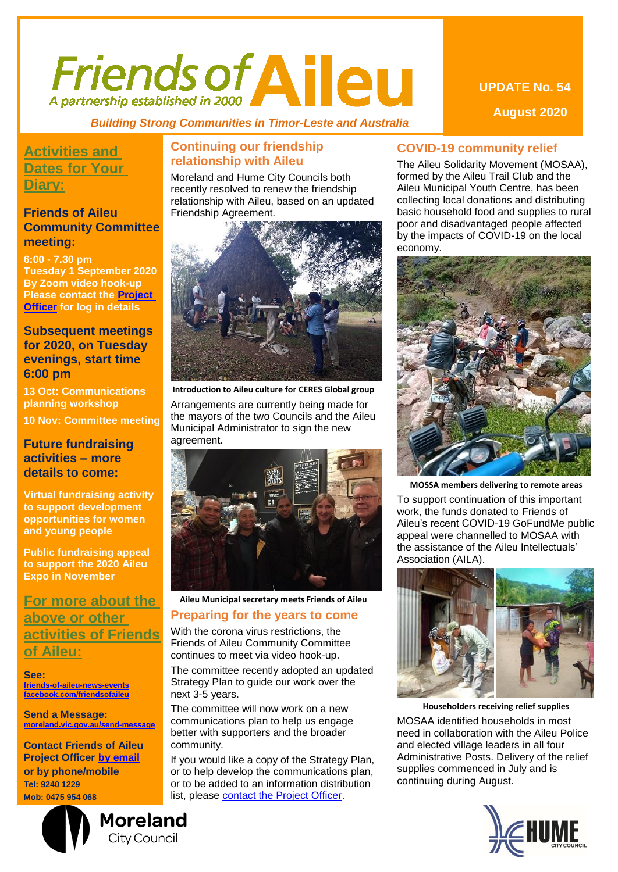# *Friends of Aileu*

 *Building Strong Communities in Timor-Leste and Australia*

## **Activities and Dates for Your Diary:**

#### **Friends of Aileu Community Committee meeting:**

**6:00 - 7.30 pm Tuesday 1 September 2020 By Zoom video hook-up Please contact the [Project](mailto:cadams@moreland.vic.gov.au?subject=Log%20In%20details%20Friends%20of%20Aileu%20Community%20Committee%20meeting)  [Officer](mailto:cadams@moreland.vic.gov.au?subject=Log%20In%20details%20Friends%20of%20Aileu%20Community%20Committee%20meeting) for log in details**

#### **Subsequent meetings for 2020, on Tuesday evenings, start time 6:00 pm**

**13 Oct: Communications planning workshop**

**10 Nov: Committee meeting**

#### **Future fundraising activities – more details to come:**

**Virtual fundraising activity to support development opportunities for women and young people**

**Public fundraising appeal to support the 2020 Aileu Expo in November**

### **For more about the above or other activities of Friends of Aileu:**

**See: [friends-of-aileu-news-events](https://www.moreland.vic.gov.au/community-health/advocacy-services/friends-of-aileu/friends-of-aileu-news-and-events/) [facebook.com/friendsofaileu](https://www.facebook.com/friendsofaileu)**

**Send a Message: [moreland.vic.gov.au/send-message](https://www.moreland.vic.gov.au/send-message)**

**Contact Friends of Aileu Project Officer by [email](mailto:cadams@moreland.vic.gov.au?subject=Friends%20of%20Aileu%20Activities) or by phone/mobile Tel: 9240 1229 Mob: 0475 954 068**

# **Moreland City Council**

#### **Continuing our friendship relationship with Aileu**

Moreland and Hume City Councils both recently resolved to renew the friendship relationship with Aileu, based on an updated Friendship Agreement.



**Introduction to Aileu culture for CERES Global group**

Arrangements are currently being made for the mayors of the two Councils and the Aileu Municipal Administrator to sign the new agreement.



#### **Aileu Municipal secretary meets Friends of Aileu**

#### **Preparing for the years to come**

With the corona virus restrictions, the Friends of Aileu Community Committee continues to meet via video hook-up.

The committee recently adopted an updated Strategy Plan to guide our work over the next 3-5 years.

The committee will now work on a new communications plan to help us engage better with supporters and the broader community.

If you would like a copy of the Strategy Plan, or to help develop the communications plan, or to be added to an information distribution list, please [contact the Project Officer.](mailto:cadams@moreland.vic.gov.au?subject=Photos%20and%20stories%20of%20the%20the%20Friendship%20Relationship%20with%20Aileu)

#### **COVID-19 community relief**

The Aileu Solidarity Movement (MOSAA), formed by the Aileu Trail Club and the Aileu Municipal Youth Centre, has been collecting local donations and distributing basic household food and supplies to rural poor and disadvantaged people affected by the impacts of COVID-19 on the local economy.



**MOSSA members delivering to remote areas**

To support continuation of this important work, the funds donated to Friends of Aileu's recent COVID-19 GoFundMe public appeal were channelled to MOSAA with the assistance of the Aileu Intellectuals' Association (AILA).



**Householders receiving relief supplies** MOSAA identified households in most need in collaboration with the Aileu Police and elected village leaders in all four Administrative Posts. Delivery of the relief supplies commenced in July and is continuing during August.



**UPDATE No. 54 August 2020**